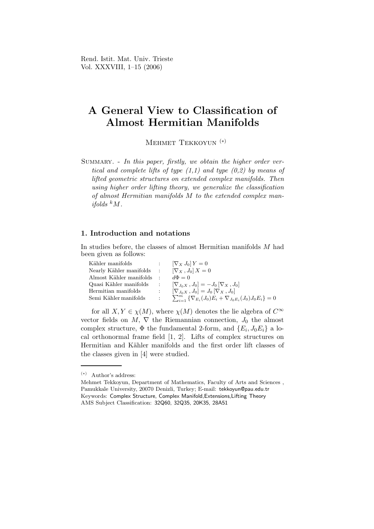Rend. Istit. Mat. Univ. Trieste Vol. XXXVIII, 1–15 (2006)

# A General View to Classification of Almost Hermitian Manifolds

Mehmet Tekkoyun (∗)

SUMMARY. - In this paper, firstly, we obtain the higher order vertical and complete lifts of type  $(1,1)$  and type  $(0,2)$  by means of lifted geometric structures on extended complex manifolds. Then using higher order lifting theory, we generalize the classification of almost Hermitian manifolds M to the extended complex manifolds  $kM$ .

### 1. Introduction and notations

In studies before, the classes of almost Hermitian manifolds M had been given as follows:

| Kähler manifolds                                  |                   | $\sum_{X} J_0 Y = 0$                                                                      |
|---------------------------------------------------|-------------------|-------------------------------------------------------------------------------------------|
| Nearly Kähler manifolds : $[\nabla_X, J_0] X = 0$ |                   |                                                                                           |
| Almost Kähler manifolds                           |                   | $d\Phi = 0$                                                                               |
| Quasi Kähler manifolds                            | $\sim$ 100 $\sim$ | $[\nabla_{J_0X}, J_0] = -J_0 [\nabla_X, J_0]$                                             |
| Hermitian manifolds                               | $\mathcal{L}$     | $[\nabla_{J_0 X}, J_0] = J_0 [\nabla_X, J_0]$                                             |
| Semi Kähler manifolds                             | $\mathcal{L}$     | $\sum_{i=1}^m \left\{ \nabla_{E_i}(J_0) E_i + \nabla_{J_0 E_i}(J_0) J_0 E_i \right\} = 0$ |

for all  $X, Y \in \chi(M)$ , where  $\chi(M)$  denotes the lie algebra of  $C^{\infty}$ vector fields on  $M$ ,  $\nabla$  the Riemannian connection,  $J_0$  the almost complex structure,  $\Phi$  the fundamental 2-form, and  $\{E_i, J_0E_i\}$  a local orthonormal frame field [1, 2]. Lifts of complex structures on Hermitian and Kähler manifolds and the first order lift classes of the classes given in [4] were studied.

<sup>(</sup>∗) Author's address:

Mehmet Tekkoyun, Department of Mathematics, Faculty of Arts and Sciences , Pamukkale University, 20070 Denizli, Turkey; E-mail: tekkoyun@pau.edu.tr Keywords: Complex Structure, Complex Manifold,Extensions,Lifting Theory AMS Subject Classification: 32Q60, 32Q35, 20K35, 28A51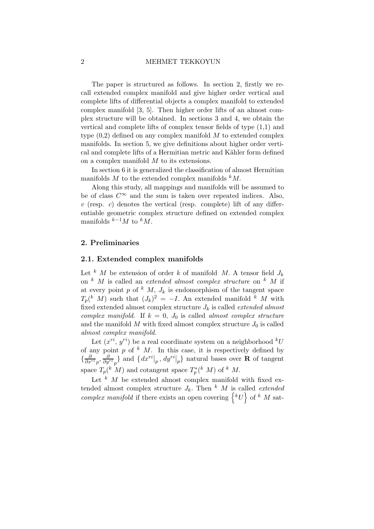#### 2 MEHMET TEKKOYUN

The paper is structured as follows. In section 2, firstly we recall extended complex manifold and give higher order vertical and complete lifts of differential objects a complex manifold to extended complex manifold [3, 5]. Then higher order lifts of an almost complex structure will be obtained. In sections 3 and 4, we obtain the vertical and complete lifts of complex tensor fields of type (1,1) and type  $(0,2)$  defined on any complex manifold M to extended complex manifolds. In section 5, we give definitions about higher order vertical and complete lifts of a Hermitian metric and Kähler form defined on a complex manifold  $M$  to its extensions.

In section 6 it is generalized the classification of almost Hermitian manifolds  $M$  to the extended complex manifolds  $kM$ .

Along this study, all mappings and manifolds will be assumed to be of class  $C^{\infty}$  and the sum is taken over repeated indices. Also,  $v$  (resp. c) denotes the vertical (resp. complete) lift of any differentiable geometric complex structure defined on extended complex manifolds  $k^{-1}M$  to  $kM$ .

### 2. Preliminaries

### 2.1. Extended complex manifolds

Let k M be extension of order k of manifold M. A tensor field  $J_k$ on  $k$  M is called an *extended almost complex structure* on  $k$  M if at every point p of  $k$  M,  $J_k$  is endomorphism of the tangent space  $T_p(k \mid M)$  such that  $(J_k)^2 = -I$ . An extended manifold k M with fixed extended almost complex structure  $J_k$  is called *extended almost* complex manifold. If  $k = 0$ ,  $J_0$  is called almost complex structure and the manifold  $M$  with fixed almost complex structure  $J_0$  is called almost complex manifold.

Let  $(x^{ri}, y^{ri})$  be a real coordinate system on a neighborhood  $^kU$ of any point p of  $k$  M. In this case, it is respectively defined by  $\{\frac{\partial}{\partial x^{ri}}_p, \frac{\partial}{\partial y^{ri}}_p\}$  and  $\{dx^{ri}|_p, dy^{ri}|_p\}$  natural bases over **R** of tangent space  $T_p({}^k M)$  and cotangent space  $T_p^*({}^k M)$  of  ${}^k M$ .

Let  $k$  M be extended almost complex manifold with fixed extended almost complex structure  $J_k$ . Then  $k$  M is called *extended* complex manifold if there exists an open covering  $\{ {}^kU \}$  of  ${}^k$  M sat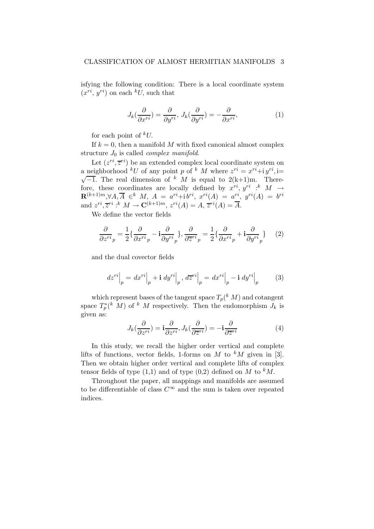isfying the following condition: There is a local coordinate system  $(x^{ri}, y^{ri})$  on each  $^kU$ , such that

$$
J_k(\frac{\partial}{\partial x^{ri}}) = \frac{\partial}{\partial y^{ri}}, J_k(\frac{\partial}{\partial y^{ri}}) = -\frac{\partial}{\partial x^{ri}},
$$
(1)

for each point of  $kU$ .

If  $k = 0$ , then a manifold M with fixed canonical almost complex structure  $J_0$  is called *complex manifold*.

Let  $(z^{ri}, \overline{z}^{ri})$  be an extended complex local coordinate system on a neighborhood <sup>k</sup>U of any point p of <sup>k</sup> M where  $z^{ri} = x^{ri} + i y^{ri}$ , i=  $\sqrt{-1}$ . The real dimension of <sup>k</sup> M is equal to 2(k+1)m. Therefore, these coordinates are locally defined by  $x^{ri}$ ,  $y^{ri}$   $\cdot$ <sup>k</sup>  $M \rightarrow$  $\mathbf{R}^{(k+1)m}, \forall A, \overline{A} \in \mathbb{R} \ \ M, \ A = \ a^{ri} + i \, b^{ri}, \ x^{ri}(A) = \ a^{ri}, \ y^{ri}(A) = \ b^{ri}$ and  $z^{ri}, \overline{z}^{ri}$  :<sup>k</sup>  $M \to \mathbf{C}^{(k+1)m}$ ,  $z^{ri}(A) = A$ ,  $\overline{z}^{ri}(A) = \overline{A}$ .

We define the vector fields

$$
\frac{\partial}{\partial z^{ri}}_{p} = \frac{1}{2} \{ \frac{\partial}{\partial x^{ri}}_{p} - \mathbf{i} \frac{\partial}{\partial y^{ri}}_{p} \}, \frac{\partial}{\partial \overline{z}^{ri}}_{p} = \frac{1}{2} \{ \frac{\partial}{\partial x^{ri}}_{p} + \mathbf{i} \frac{\partial}{\partial y^{ri}}_{p} \} \tag{2}
$$

and the dual covector fields

$$
dz^{ri}\Big|_p = dx^{ri}\Big|_p + \mathbf{i} dy^{ri}\Big|_p, d\overline{z}^{ri}\Big|_p = dx^{ri}\Big|_p - \mathbf{i} dy^{ri}\Big|_p \tag{3}
$$

which represent bases of the tangent space  $T_p(^k M)$  and cotangent space  $T_p^*(^k M)$  of  $^k M$  respectively. Then the endomorphism  $J_k$  is given as:

$$
J_k(\frac{\partial}{\partial z^{ri}}) = \mathbf{i}\frac{\partial}{\partial z^{ri}}, J_k(\frac{\partial}{\partial \overline{z}^{ri}}) = -\mathbf{i}\frac{\partial}{\partial \overline{z}^{ri}}\tag{4}
$$

In this study, we recall the higher order vertical and complete lifts of functions, vector fields, 1-forms on M to  $^kM$  given in [3]. Then we obtain higher order vertical and complete lifts of complex tensor fields of type  $(1,1)$  and of type  $(0,2)$  defined on M to <sup>k</sup>M.

Throughout the paper, all mappings and manifolds are assumed to be differentiable of class  $C^{\infty}$  and the sum is taken over repeated indices.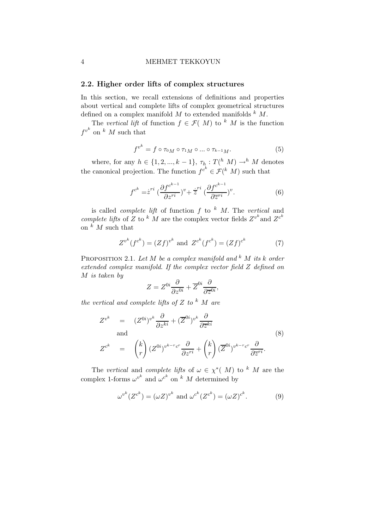### 4 MEHMET TEKKOYUN

### 2.2. Higher order lifts of complex structures

In this section, we recall extensions of definitions and properties about vertical and complete lifts of complex geometrical structures defined on a complex manifold  $M$  to extended manifolds  $k M$ .

The vertical lift of function  $f \in \mathcal{F}(M)$  to k M is the function  $f^{v^k}$  on  $k$  M such that

$$
f^{v^k} = f \circ \tau_{0M} \circ \tau_{1M} \circ \dots \circ \tau_{k-1M}.\tag{5}
$$

where, for any  $h \in \{1, 2, ..., k-1\}$ ,  $\tau_{h} : T({}^{h}M) \longrightarrow {}^{h}M$  denotes the canonical projection. The function  $f^{c^k} \in \mathcal{F}(\binom{k}{M})$  such that

$$
f^{c^k} = \dot{z}^{ri} \left( \frac{\partial f^{c^{k-1}}}{\partial z^{ri}} \right)^v + \dot{z}^{ri} \left( \frac{\partial f^{c^{k-1}}}{\partial \overline{z}^{ri}} \right)^v. \tag{6}
$$

is called *complete lift* of function  $f$  to  $k$  M. The vertical and complete lifts of Z to  $k$  M are the complex vector fields  $Z^{v^k}$  and  $Z^{c^k}$ on  $\kappa$  *M* such that

$$
Z^{v^k}(f^{c^k}) = (Zf)^{v^k} \text{ and } Z^{c^k}(f^{c^k}) = (Zf)^{c^k}
$$
 (7)

PROPOSITION 2.1. Let M be a complex manifold and  $k$  M its k order extended complex manifold. If the complex vector field Z defined on M is taken by

$$
Z = Z^{0i} \frac{\partial}{\partial z^{0i}} + \overline{Z}^{0i} \frac{\partial}{\partial \overline{z}^{0i}},
$$

the vertical and complete lifts of  $Z$  to  $k$  M are

$$
Z^{v^k} = (Z^{0i})^{v^k} \frac{\partial}{\partial z^{ki}} + (\overline{Z}^{0i})^{v^k} \frac{\partial}{\partial \overline{z}^{ki}}
$$
  
and  

$$
Z^{c^k} = \binom{k}{r} (Z^{0i})^{v^{k-r}c^r} \frac{\partial}{\partial z^{ri}} + \binom{k}{r} (\overline{Z}^{0i})^{v^{k-r}c^r} \frac{\partial}{\partial \overline{z}^{ri}}.
$$
 (8)

The vertical and complete lifts of  $\omega \in \chi^*(M)$  to k M are the complex 1-forms  $\omega^{v^k}$  and  $\omega^{c^k}$  on k M determined by

$$
\omega^{v^k}(Z^{c^k}) = (\omega Z)^{v^k} \text{ and } \omega^{c^k}(Z^{c^k}) = (\omega Z)^{c^k}.
$$
 (9)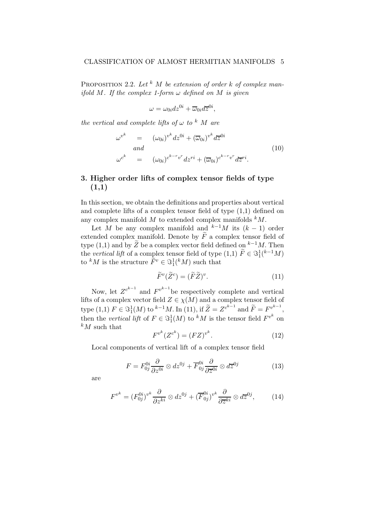PROPOSITION 2.2. Let <sup>k</sup> M be extension of order k of complex manifold M. If the complex 1-form  $\omega$  defined on M is given

$$
\omega = \omega_{0i} dz^{0i} + \overline{\omega}_{0i} d\overline{z}^{0i},
$$

the vertical and complete lifts of  $\omega$  to <sup>k</sup> M are

$$
\omega^{v^k} = (\omega_{0i})^{v^k} dz^{0i} + (\overline{\omega}_{0i})^{v^k} d\overline{z}^{0i}
$$
  
\nand  
\n
$$
\omega^{c^k} = (\omega_{0i})^{c^{k-r}v^r} dz^{ri} + (\overline{\omega}_{0i})^{c^{k-r}v^r} d\overline{z}^{ri}.
$$
\n(10)

# 3. Higher order lifts of complex tensor fields of type (1,1)

In this section, we obtain the definitions and properties about vertical and complete lifts of a complex tensor field of type (1,1) defined on any complex manifold  $M$  to extended complex manifolds  $kM$ .

Let M be any complex manifold and  $k^{-1}M$  its  $(k-1)$  order extended complex manifold. Denote by  $\widetilde{F}$  a complex tensor field of type (1,1) and by  $\widetilde{Z}$  be a complex vector field defined on  $k-1$ *M*. Then the vertical lift of a complex tensor field of type  $(1,1)$   $\widetilde{F} \in \Im_1^1({}^{k-1}M)$ to  ${}^kM$  is the structure  $\widetilde{F}^v \in \Im_1^1({}^kM)$  such that

$$
\widetilde{F}^v(\widetilde{Z}^c) = (\widetilde{F}\widetilde{Z})^v. \tag{11}
$$

Now, let  $Z^{c^{k-1}}$  and  $F^{v^{k-1}}$  be respectively complete and vertical lifts of a complex vector field  $Z \in \chi(M)$  and a complex tensor field of type (1,1)  $F \in \mathcal{S}_1^1(M)$  to  ${}^{k-1}M$ . In (11), if  $\widetilde{Z} = Z^{c^{k-1}}$  and  $\widetilde{F} = F_v^{v^{k-1}}$ , then the vertical lift of  $F \in \Im^1(M)$  to  $^kM$  is the tensor field  $F^{v^k}$  on  $k_M$  such that

$$
F^{v^k}(Z^{c^k}) = (FZ)^{v^k}.
$$
\n
$$
(12)
$$

Local components of vertical lift of a complex tensor field

$$
F = F_{0j}^{0i} \frac{\partial}{\partial z^{0i}} \otimes dz^{0j} + \overline{F}_{0j}^{0i} \frac{\partial}{\partial \overline{z}^{0i}} \otimes d\overline{z}^{0j}
$$
(13)

are

$$
F^{v^k} = (F^{0i}_{0j})^{v^k} \frac{\partial}{\partial z^{ki}} \otimes dz^{0j} + (\overline{F}^{0i}_{0j})^{v^k} \frac{\partial}{\partial \overline{z}^{ki}} \otimes d\overline{z}^{0j},\tag{14}
$$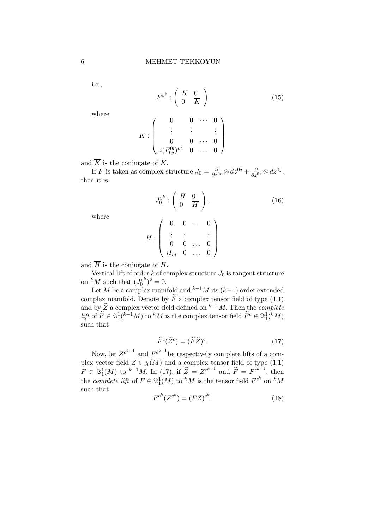i.e.,

$$
F^{v^k} : \left(\begin{array}{cc} K & 0\\ 0 & \overline{K} \end{array}\right) \tag{15}
$$

where

$$
K: \left(\begin{array}{ccccc} 0 & 0 & \cdots & 0 \\ \vdots & \vdots & & \vdots \\ 0 & 0 & \cdots & 0 \\ i(F_{0j}^{0i})^{v^k} & 0 & \cdots & 0 \end{array}\right)
$$

and  $\overline{K}$  is the conjugate of K.

If F is taken as complex structure  $J_0 = \frac{\partial}{\partial z^{0i}} \otimes dz^{0j} + \frac{\partial}{\partial \overline{z}^{0i}} \otimes d\overline{z}^{0j}$ , then it is

$$
J_0^{v^k} : \left( \begin{array}{cc} H & 0 \\ 0 & \overline{H} \end{array} \right),\tag{16}
$$

where

$$
H:\left(\begin{array}{cccc}0&0&\ldots&0\\ \vdots&\vdots&&\vdots\\0&0&\ldots&0\\iI_m&0&\ldots&0\end{array}\right)
$$

and  $\overline{H}$  is the conjugate of H.

Vertical lift of order k of complex structure  $J_0$  is tangent structure on  ${}^k M$  such that  $(J_0^{v^k})$  $y^k\binom{v^k}{0}^2=0.$ 

Let M be a complex manifold and  $k^{-1}M$  its  $(k-1)$  order extended complex manifold. Denote by  $\tilde{F}$  a complex tensor field of type  $(1,1)$ and by  $\widetilde{Z}$  a complex vector field defined on <sup>k−1</sup>M. Then the *complete* lift of  $\widetilde{F} \in \Im^1_1(k^{-1}M)$  to  $^kM$  is the complex tensor field  $\widetilde{F}^c \in \Im^1_1(kM)$ such that

$$
\widetilde{F}^c(\widetilde{Z}^c) = (\widetilde{F}\widetilde{Z})^c. \tag{17}
$$

Now, let  $Z^{c^{k-1}}$  and  $F^{c^{k-1}}$  be respectively complete lifts of a complex vector field  $Z \in \chi(M)$  and a complex tensor field of type  $(1,1)$  $F \in \mathbb{S}^1_1(M)$  to  $^{k-1}M$ . In (17), if  $\widetilde{Z} = Z^{c^{k-1}}$  and  $\widetilde{F} = F^{c^{k-1}}$ , then the *complete lift* of  $F \in \Im^1(M)$  to <sup>k</sup>M is the tensor field  $F^{c^k}$  on <sup>k</sup>M such that

$$
F^{c^k}(Z^{c^k}) = (FZ)^{c^k}.
$$
 (18)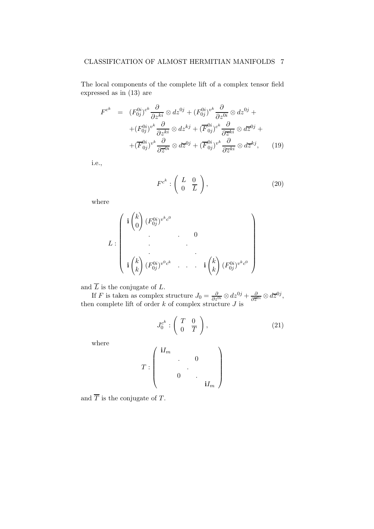# CLASSIFICATION OF ALMOST HERMITIAN MANIFOLDS 7

The local components of the complete lift of a complex tensor field expressed as in (13) are

$$
F^{c^k} = (F_{0j}^{0i})^{c^k} \frac{\partial}{\partial z^{ki}} \otimes dz^{0j} + (F_{0j}^{0i})^{v^k} \frac{\partial}{\partial z^{0i}} \otimes dz^{0j} +
$$
  
+
$$
(F_{0j}^{0i})^{v^k} \frac{\partial}{\partial z^{ki}} \otimes dz^{kj} + (\overline{F}_{0j}^{0i})^{c^k} \frac{\partial}{\partial \overline{z}^{ki}} \otimes d\overline{z}^{0j} +
$$
  
+
$$
(\overline{F}_{0j}^{0i})^{v^k} \frac{\partial}{\partial \overline{z}^{0i}} \otimes d\overline{z}^{0j} + (\overline{F}_{0j}^{0i})^{v^k} \frac{\partial}{\partial \overline{z}^{ki}} \otimes d\overline{z}^{kj}, \qquad (19)
$$

i.e.,

$$
F^{c^k}: \left(\begin{array}{cc} L & 0\\ 0 & \overline{L} \end{array}\right), \tag{20}
$$

where

$$
L: \begin{pmatrix} \mathbf{i} \binom{k}{0} (F_{0j}^{0i})^{v^kc^0} & & & \\ \cdot & \cdot & \cdot & 0 \\ \cdot & \cdot & \cdot & \cdot \\ \cdot & \cdot & \cdot & \cdot \\ \mathbf{i} \binom{k}{k} (F_{0j}^{0i})^{v^0c^k} & \cdot & \cdot & \cdot & \mathbf{i} \binom{k}{k} (F_{0j}^{0i})^{v^kc^0} \end{pmatrix}
$$

and  $\overline{L}$  is the conjugate of L.

If F is taken as complex structure  $J_0 = \frac{\partial}{\partial z^{0i}} \otimes dz^{0j} + \frac{\partial}{\partial \overline{z}}$  $\frac{\partial}{\partial \overline{z}^{0i}} \otimes d\overline{z}^{0j},$ then complete lift of order  $k$  of complex structure  $J$  is

$$
J_0^{c^k} : \left( \begin{array}{cc} T & 0 \\ 0 & \overline{T} \end{array} \right), \tag{21}
$$

where

$$
T:\left(\begin{array}{cccc} \mathbf{i}I_m&&&\\ &\cdot&&0&\\ &&\cdot&&\\ &&&\cdot&&\\ &&&\cdot&&\\ &&&&&\mathbf{i}I_m\end{array}\right)
$$

and  $\overline{T}$  is the conjugate of T.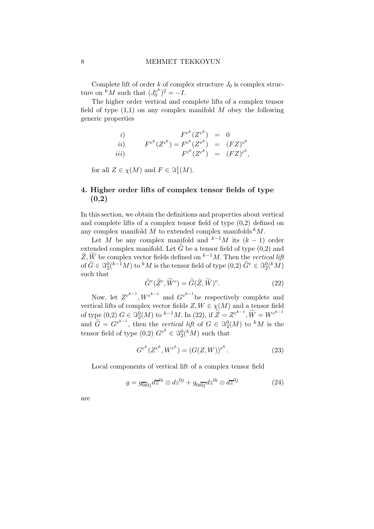Complete lift of order k of complex structure  $J_0$  is complex structure on  ${}^{\dot k}M$  such that  $(J_0^{c^k})$  $\binom{c^k}{0}^2 = -I.$ 

The higher order vertical and complete lifts of a complex tensor field of type  $(1,1)$  on any complex manifold M obey the following generic properties

*i*)  
\n*ii*)  
\n*Fv<sup>k</sup>*(
$$
Z^{c^k}
$$
) =  $F^{c^k}(Z^{v^k})$  =  $(FZ)^{v^k}$   
\n*iii*)  
\n*Fv<sup>k</sup>*( $Z^{c^k}$ ) =  $(FZ)^{c^k}$ ,  
\n*Fv<sup>k</sup>*( $Z^{c^k}$ ) =  $(FZ)^{c^k}$ ,

for all  $Z \in \chi(M)$  and  $F \in \Im^1_1(M)$ .

# 4. Higher order lifts of complex tensor fields of type (0,2)

In this section, we obtain the definitions and properties about vertical and complete lifts of a complex tensor field of type (0,2) defined on any complex manifold  $M$  to extended complex manifolds  $kM$ .

Let M be any complex manifold and  $k^{-1}M$  its  $(k-1)$  order extended complex manifold. Let  $\tilde{G}$  be a tensor field of type (0,2) and  $\widetilde{Z}, \widetilde{W}$  be complex vector fields defined on  $k-1M$ . Then the vertical lift of  $\widetilde{G} \in \Im_2^0({}^{k-1}M)$  to  ${}^kM$  is the tensor field of type  $(0,2)$   $\widetilde{G}^v \in \Im_2^0({}^kM)$ such that

$$
\tilde{G}^v(\tilde{Z}^c, \widetilde{W}^c) = \tilde{G}(\tilde{Z}, \widetilde{W})^v.
$$
\n(22)

Now, let  $Z^{c^{k-1}}$ ,  $W^{c^{k-1}}$  and  $G^{v^{k-1}}$  be respectively complete and vertical lifts of complex vector fields  $Z, W \in \chi(M)$  and a tensor field of type  $(0,2)$   $G \in \mathfrak{S}_2^0(M)$  to  $k^{-1}M$ . In  $(22)$ , if  $\widetilde{Z} = Z^{c^{k-1}}$ ,  $\widetilde{W} = W^{c^{k-1}}$ and  $\widetilde{G} = G^{v^{k-1}}$ , then the vertical lift of  $G \in \Im_2^0(M)$  to <sup>k</sup>M is the tensor field of type  $(0,2)$   $G^{v^k} \in \Im_2^0({}^k M)$  such that

$$
G^{v^k}(Z^{c^k}, W^{c^k}) = (G(Z, W))^{v^k}.
$$
\n(23)

Local components of vertical lift of a complex tensor field

$$
g = g_{\overline{0i}0j} d\overline{z}^{0i} \otimes dz^{0j} + g_{0i\overline{0j}} dz^{0i} \otimes d\overline{z}^{0j}
$$
 (24)

are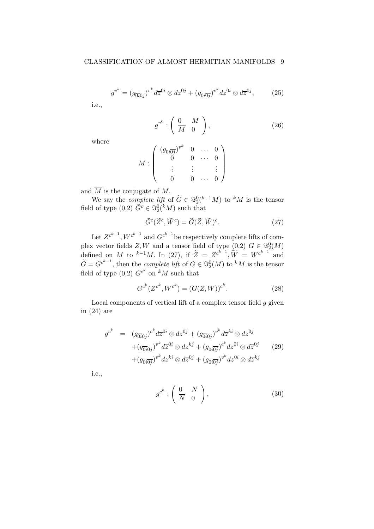$$
g^{v^k} = (g_{\overline{0i}0j})^{v^k} d\overline{z}^{0i} \otimes dz^{0j} + (g_{0i\overline{0j}})^{v^k} dz^{0i} \otimes d\overline{z}^{0j},\tag{25}
$$

i.e.,

$$
g^{v^k} : \left(\begin{array}{cc} 0 & M \\ \overline{M} & 0 \end{array}\right), \tag{26}
$$

where

$$
M : \left( \begin{array}{cccc} (g_{0i\overline{0j}})^{v^k} & 0 & \ldots & 0 \\ 0 & 0 & \cdots & 0 \\ \vdots & \vdots & & \vdots \\ 0 & 0 & \cdots & 0 \end{array} \right)
$$

and  $\overline{M}$  is the conjugate of M.

We say the *complete lift* of  $\widetilde{G} \in \Im_2^0({}^{k-1}M)$  to  ${}^kM$  is the tensor field of type  $(0,2)$   $\widetilde{G}^c \in \Im_2^0({}^k M)$  such that

$$
\widetilde{G}^c(\widetilde{Z}^c, \widetilde{W}^c) = \widetilde{G}(\widetilde{Z}, \widetilde{W})^c. \tag{27}
$$

Let  $Z^{c^{k-1}}$ ,  $W^{c^{k-1}}$  and  $G^{c^{k-1}}$  be respectively complete lifts of complex vector fields  $Z, W$  and a tensor field of type  $(0,2)$   $G \in \mathcal{S}_2^0(M)$ defined on *M* to <sup>k-1</sup>*M*. In (27), if  $\tilde{Z} = Z^{c^{k-1}}$ ,  $\tilde{W} = W^{c^{k-1}}$  and  $\widetilde{G} = G^{c^{k-1}}$ , then the *complete lift* of  $G \in \Im_2^0(M)$  to <sup>k</sup>M is the tensor field of type  $(0,2)$   $G^{c^k}$  on  $^kM$  such that

$$
G^{c^k}(Z^{c^k}, W^{c^k}) = (G(Z, W))^{c^k}.
$$
\n(28)

Local components of vertical lift of a complex tensor field  $g$  given in (24) are

$$
g^{c^k} = (g_{\overline{0i}0j})^{c^k} d\overline{z}^{0i} \otimes dz^{0j} + (g_{\overline{0i}0j})^{v^k} d\overline{z}^{ki} \otimes dz^{0j}
$$
  
 
$$
+ (g_{\overline{0i}0j})^{v^k} d\overline{z}^{0i} \otimes dz^{kj} + (g_{0i\overline{0j}})^{c^k} dz^{0i} \otimes d\overline{z}^{0j}
$$
  
 
$$
+ (g_{0i\overline{0j}})^{v^k} dz^{ki} \otimes d\overline{z}^{0j} + (g_{0i\overline{0j}})^{v^k} dz^{0i} \otimes d\overline{z}^{kj}
$$
 (29)

i.e.,

$$
g^{c^k} : \left(\begin{array}{cc} 0 & N \\ \overline{N} & 0 \end{array}\right), \tag{30}
$$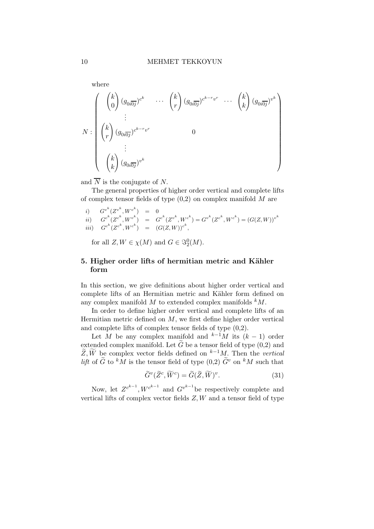where  
\n
$$
N : \begin{pmatrix} k \\ 0 \\ \end{pmatrix} (g_{0i\overline{0j}})^{c^k} \cdots {k \choose r} (g_{0i\overline{0j}})^{c^{k-r}v^r} \cdots {k \choose k} (g_{0i\overline{0j}})^{v^k}
$$
\n
$$
N : \begin{pmatrix} k \\ r \end{pmatrix} (g_{0i\overline{0j}})^{c^{k-r}v^r} \qquad 0
$$
\n
$$
\vdots
$$
\n
$$
\begin{pmatrix} k \\ k \end{pmatrix} (g_{0i\overline{0j}})^{v^k}
$$

and  $\overline{N}$  is the conjugate of N.

The general properties of higher order vertical and complete lifts of complex tensor fields of type  $(0,2)$  on complex manifold M are

i)  $G^{v^k}(Z^{v^k}, W^{v^k}) = 0$  $\begin{pmatrix} a^{c^k}(Z^{c^k},W^{v^k}) \end{pmatrix} \;\; = \;\; G^{c^k}(Z^{v^k},W^{c^k}) = G^{v^k}(Z^{c^k},W^{c^k}) = \left(G(Z,W)\right)^{v^k}$  $iii)$   $G^{c^k}(Z^{c^k}, W^{c^k}) = (G(Z, W))^{c^k},$ 

for all  $Z, W \in \chi(M)$  and  $G \in \Im_2^0(M)$ .

# 5. Higher order lifts of hermitian metric and Kähler form

In this section, we give definitions about higher order vertical and complete lifts of an Hermitian metric and Kähler form defined on any complex manifold  $M$  to extended complex manifolds  $kM$ .

In order to define higher order vertical and complete lifts of an Hermitian metric defined on  $M$ , we first define higher order vertical and complete lifts of complex tensor fields of type (0,2).

Let M be any complex manifold and  $k-1$ M its  $(k-1)$  order extended complex manifold. Let  $\tilde{G}$  be a tensor field of type  $(0,2)$  and  $\widetilde{Z}, \widetilde{W}$  be complex vector fields defined on  $k-1$ *M*. Then the vertical lift of  $\tilde{G}$  to  ${}^k \tilde{M}$  is the tensor field of type (0,2)  $\tilde{G}^v$  on  ${}^k M$  such that

$$
\tilde{G}^v(\tilde{Z}^c, \widetilde{W}^c) = \tilde{G}(\tilde{Z}, \widetilde{W})^v.
$$
\n(31)

Now, let  $Z^{c^{k-1}}$ ,  $W^{c^{k-1}}$  and  $G^{v^{k-1}}$  be respectively complete and vertical lifts of complex vector fields  $Z, W$  and a tensor field of type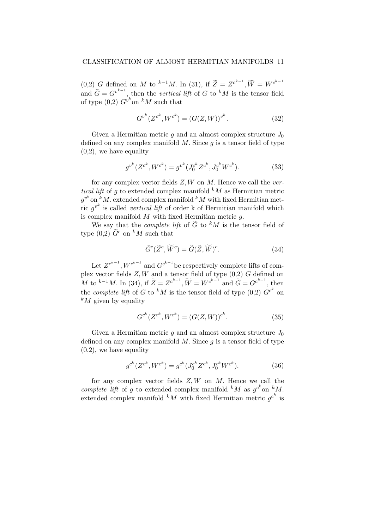(0,2) G defined on M to <sup>k-1</sup>M. In (31), if  $\widetilde{Z} = Z^{c^{k-1}}$ ,  $\widetilde{W} = W^{c^{k-1}}$ and  $\widetilde{G} = G^{v^{k-1}}$ , then the vertical lift of G to <sup>k</sup>M is the tensor field of type  $(0,2)$   $G^{v^k}$  on  $^kM$  such that

$$
G^{v^k}(Z^{c^k}, W^{c^k}) = (G(Z, W))^{v^k}.
$$
\n(32)

Given a Hermitian metric q and an almost complex structure  $J_0$ defined on any complex manifold  $M$ . Since  $q$  is a tensor field of type  $(0,2)$ , we have equality

$$
g^{v^k}(Z^{c^k}, W^{c^k}) = g^{v^k}(J_0^{c^k}Z^{c^k}, J_0^{c^k}W^{c^k}).
$$
\n(33)

for any complex vector fields  $Z, W$  on  $M$ . Hence we call the vertical lift of q to extended complex manifold  $^kM$  as Hermitian metric  $g^{v^k}$  on  $\kappa^k M$ . extended complex manifold  $^kM$  with fixed Hermitian metric  $g^{v^k}$  is called *vertical lift* of order k of Hermitian manifold which is complex manifold  $M$  with fixed Hermitian metric  $q$ .

We say that the *complete lift* of  $\tilde{G}$  to <sup>k</sup>M is the tensor field of type (0,2)  $\tilde{G}^c$  on <sup>k</sup>M such that

$$
\tilde{G}^c(\tilde{Z}^c, \widetilde{W}^c) = \tilde{G}(\tilde{Z}, \widetilde{W})^c.
$$
 (34)

Let  $Z^{c^{k-1}}$ ,  $W^{c^{k-1}}$  and  $G^{c^{k-1}}$  be respectively complete lifts of complex vector fields  $Z, W$  and a tensor field of type  $(0,2)$  G defined on M to <sup>k-1</sup>M. In (34), if  $\widetilde{Z} = Z^{c^{k-1}}$ ,  $\widetilde{W} = W^{c^{k-1}}$  and  $\widetilde{G} = G^{c^{k-1}}$ , then the *complete lift* of G to  $^kM$  is the tensor field of type  $(0,2)$   $G^{c^k}$  on  $k_M$  given by equality

$$
G^{c^k}(Z^{c^k}, W^{c^k}) = (G(Z, W))^{c^k}.
$$
\n(35)

Given a Hermitian metric g and an almost complex structure  $J_0$ defined on any complex manifold  $M$ . Since  $q$  is a tensor field of type  $(0,2)$ , we have equality

$$
g^{c^k}(Z^{c^k}, W^{c^k}) = g^{c^k}(J_0^{c^k}Z^{c^k}, J_0^{c^k}W^{c^k}).
$$
\n(36)

for any complex vector fields  $Z, W$  on  $M$ . Hence we call the complete lift of g to extended complex manifold  ${}^kM$  as  $g^{c^k}$  on  ${}^kM$ . extended complex manifold  $^kM$  with fixed Hermitian metric  $g^{c^k}$  is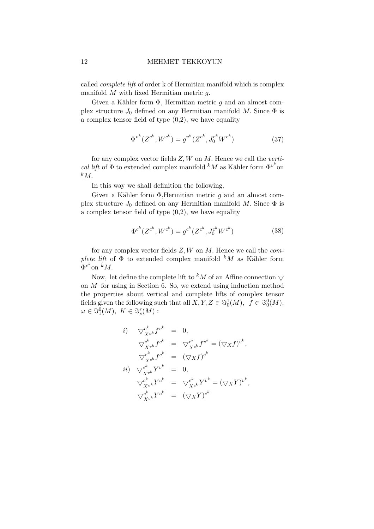### 12 MEHMET TEKKOYUN

called complete lift of order k of Hermitian manifold which is complex manifold  $M$  with fixed Hermitian metric  $q$ .

Given a Kähler form  $\Phi$ , Hermitian metric q and an almost complex structure  $J_0$  defined on any Hermitian manifold M. Since  $\Phi$  is a complex tensor field of type  $(0,2)$ , we have equality

$$
\Phi^{v^k}(Z^{c^k}, W^{c^k}) = g^{v^k}(Z^{c^k}, J_0^{c^k} W^{c^k})
$$
\n(37)

for any complex vector fields  $Z, W$  on  $M$ . Hence we call the vertical lift of  $\Phi$  to extended complex manifold  $^kM$  as Kähler form  $\Phi^{v^k}$ on  $k_{M}$ .

In this way we shall definition the following.

Given a Kähler form  $\Phi$ , Hermitian metric g and an almost complex structure  $J_0$  defined on any Hermitian manifold M. Since  $\Phi$  is a complex tensor field of type  $(0,2)$ , we have equality

$$
\Phi^{c^k}(Z^{c^k}, W^{c^k}) = g^{c^k}(Z^{c^k}, J_0^{c^k} W^{c^k})
$$
\n(38)

for any complex vector fields  $Z, W$  on M. Hence we call the *com*plete lift of  $\Phi$  to extended complex manifold  $kM$  as Kähler form  $\Phi^{c^k}$ on  $^kM$ .

Now, let define the complete lift to  $kM$  of an Affine connection  $\bigtriangledown$ on M for using in Section 6. So, we extend using induction method the properties about vertical and complete lifts of complex tensor fields given the following such that all  $X, Y, Z \in \Im_0^1(M)$ ,  $f \in \Im_0^0(M)$ ,  $\omega \in \mathcal{S}_1^0(M), K \in \mathcal{S}_s^r(M):$ 

$$
i) \nabla_{X^{v^k}}^{c^k} f^{v^k} = 0,
$$
\n
$$
\nabla_{X^{v^k}}^{c^k} f^{c^k} = \nabla_{X^{c^k}}^{c^k} f^{v^k} = (\nabla_X f)^{v^k},
$$
\n
$$
\nabla_{X^{c^k}}^{c^k} f^{c^k} = (\nabla_X f)^{c^k}
$$
\n
$$
ii) \nabla_{X^{v^k}}^{c^k} Y^{v^k} = 0,
$$
\n
$$
\nabla_{X^{v^k}}^{c^k} Y^{c^k} = \nabla_{X^{c^k}}^{c^k} Y^{v^k} = (\nabla_X Y)^{v^k},
$$
\n
$$
\nabla_{X^{c^k}}^{c^k} Y^{c^k} = (\nabla_X Y)^{c^k}
$$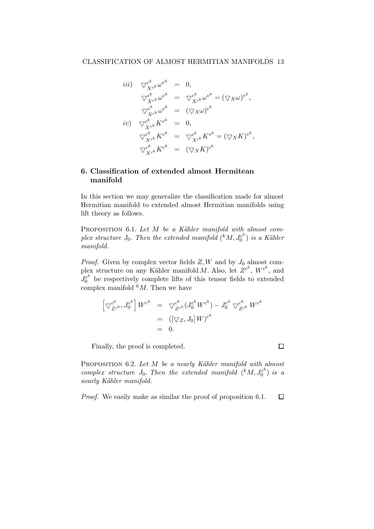$$
iii) \nabla_{X^{vk}}^{c^k} \omega^{v^k} = 0,
$$
\n
$$
\nabla_{X^{vk}}^{c^k} \omega^{c^k} = \nabla_{X^{ck}}^{c^k} \omega^{v^k} = (\nabla_X \omega)^{v^k},
$$
\n
$$
\nabla_{X^{vk}}^{c^k} \omega^{c^k} = (\nabla_X \omega)^{c^k}
$$
\n
$$
iv) \nabla_{X^{vk}}^{c^k} K^{v^k} = 0,
$$
\n
$$
\nabla_{X^{vk}}^{c^k} K^{c^k} = \nabla_{X^{ck}}^{c^k} K^{v^k} = (\nabla_X K)^{v^k},
$$
\n
$$
\nabla_{X^{c^k}}^{c^k} K^{c^k} = (\nabla_X K)^{c^k}
$$

# 6. Classification of extended almost Hermitean manifold

In this section we may generalize the classification made for almost Hermitian manifold to extended almost Hermitian manifolds using lift theory as follows.

PROPOSITION  $6.1.$  Let M be a Kähler manifold with almost complex structure  $J_0$ . Then the extended manifold  $({}^k M, J_0^{c^k})$  $\binom{c^n}{0}$  is a Kähler manifold.

*Proof.* Given by complex vector fields  $Z, W$  and by  $J_0$  almost complex structure on any Kähler manifold M. Also, let  $Z^{c^k}$ ,  $W^{c^k}$ , and  $J_0^{c^k}$  be respectively complete lifts of this tensor fields to extended complex manifold  $kM$ . Then we have

$$
\begin{array}{rcl} \left[ \bigtriangledown_{Z^{c^k}}^{c^k}, J_0^{c^k} \right] W^{c^k} & = & \bigtriangledown_{Z^{c^k}}^{c^k} (J_0^{c^k} W^{c^k}) - J_0^{c^k} \bigtriangledown_{Z^{c^k}}^{c^k} W^{c^k} \\ & = & \left( [\bigtriangledown_Z, J_0] \, W \right)^{c^k} \\ & = & 0. \end{array}
$$

Finally, the proof is completed.

PROPOSITION  $6.2$ . Let M be a nearly Kähler manifold with almost complex structure  $J_0$ . Then the extended manifold  $({}^k M, J_0^{c^k})$  $\binom{c^n}{0}$  is a nearly Kähler manifold.

Proof. We easily make as similar the proof of proposition 6.1. $\Box$ 

 $\Box$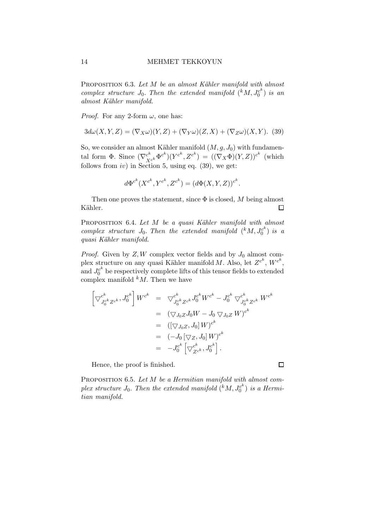PROPOSITION 6.3. Let M be an almost Kähler manifold with almost complex structure  $J_0$ . Then the extended manifold  $(KM, J_0^{c^k})$  $\binom{c^n}{0}$  is an almost Kähler manifold.

*Proof.* For any 2-form  $\omega$ , one has:

$$
3d\omega(X,Y,Z) = (\nabla_X \omega)(Y,Z) + (\nabla_Y \omega)(Z,X) + (\nabla_Z \omega)(X,Y). \tag{39}
$$

So, we consider an almost Kähler manifold  $(M, g, J_0)$  with fundamental form  $\Phi$ . Since  $(\nabla_{X^{c^k}}^{\ c^k} \Phi^{c^k})(Y^{c^k}, Z^{c^k}) = ((\nabla_X \Phi)(Y, Z))^{c^k}$  (which follows from  $iv$ ) in Section 5, using eq. (39), we get:

$$
d\Phi^{c^k}(X^{c^k}, Y^{c^k}, Z^{c^k}) = (d\Phi(X, Y, Z))^{c^k}.
$$

Then one proves the statement, since  $\Phi$  is closed, M being almost Kähler.  $\Box$ 

PROPOSITION 6.4. Let  $M$  be a quasi Kähler manifold with almost complex structure  $J_0$ . Then the extended manifold  $({}^k M, J_0^{c^k})$  $\binom{c^n}{0}$  is a quasi Kähler manifold.

*Proof.* Given by  $Z, W$  complex vector fields and by  $J_0$  almost complex structure on any quasi Kähler manifold M. Also, let  $Z^{c^k}$ ,  $W^{c^k}$ , and  $J_0^{c^k}$  be respectively complete lifts of this tensor fields to extended complex manifold  $kM$ . Then we have

$$
\begin{split}\n\left[\nabla_{J_0^{c^k}Z^{c^k}}^{c^k}, J_0^{c^k}\right] W^{c^k} &= \nabla_{J_0^{c^k}Z^{c^k}}^{c^k} J_0^{c^k} W^{c^k} - J_0^{c^k} \nabla_{J_0^{c^k}Z^{c^k}}^{c^k} W^{c^k} \\
&= (\nabla_{J_0Z} J_0 W - J_0 \nabla_{J_0Z} W)^{c^k} \\
&= ((\nabla_{J_0Z}, J_0] W)^{c^k} \\
&= (-J_0 [\nabla_Z, J_0] W)^{c^k} \\
&= -J_0^{c^k} [\nabla_{Z^{c^k}}^{c^k}, J_0^{c^k}].\n\end{split}
$$

Hence, the proof is finished.

PROPOSITION 6.5. Let M be a Hermitian manifold with almost complex structure  $J_0$ . Then the extended manifold  $(KM, J_0^{c^k})$  $j_0^{c^{\kappa}}$ ) is a Hermitian manifold.

 $\Box$